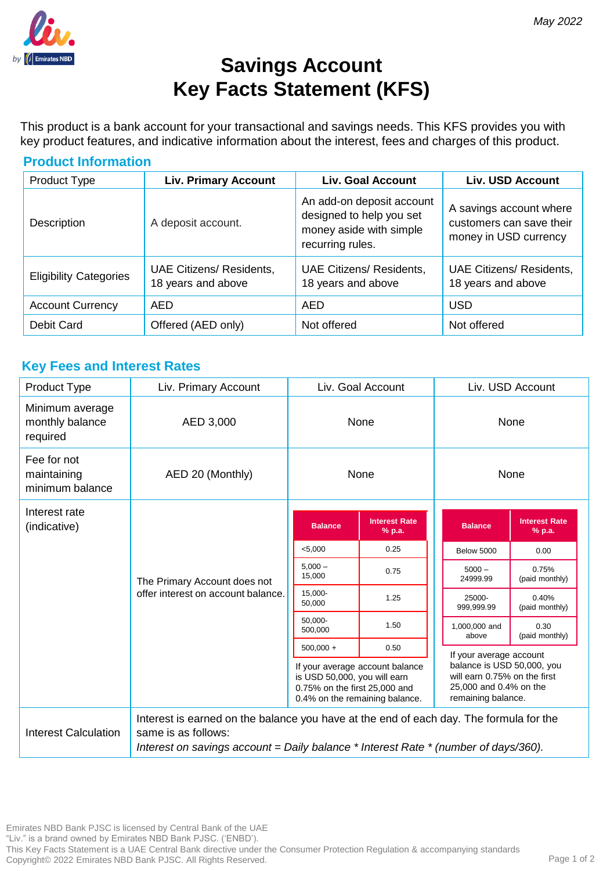

# **Savings Account Key Facts Statement (KFS)**

This product is a bank account for your transactional and savings needs. This KFS provides you with key product features, and indicative information about the interest, fees and charges of this product.

| <b>Product Information</b>    |                                                       |                                                                                                      |                                                                              |  |  |  |
|-------------------------------|-------------------------------------------------------|------------------------------------------------------------------------------------------------------|------------------------------------------------------------------------------|--|--|--|
| Product Type                  | <b>Liv. Primary Account</b>                           | <b>Liv. Goal Account</b>                                                                             | <b>Liv. USD Account</b>                                                      |  |  |  |
| Description                   | A deposit account.                                    | An add-on deposit account<br>designed to help you set<br>money aside with simple<br>recurring rules. | A savings account where<br>customers can save their<br>money in USD currency |  |  |  |
| <b>Eligibility Categories</b> | <b>UAE Citizens/ Residents,</b><br>18 years and above | UAE Citizens/ Residents,<br>18 years and above                                                       | <b>UAE Citizens/ Residents,</b><br>18 years and above                        |  |  |  |
| <b>Account Currency</b>       | <b>AED</b>                                            | AED                                                                                                  | <b>USD</b>                                                                   |  |  |  |
| Debit Card                    | Offered (AED only)                                    | Not offered                                                                                          | Not offered                                                                  |  |  |  |

# **Key Fees and Interest Rates**

| Product Type                                   | Liv. Primary Account                                                                                                                                                                                     | Liv. Goal Account                                                                                                                  |                                | Liv. USD Account                                                                                           |                                |
|------------------------------------------------|----------------------------------------------------------------------------------------------------------------------------------------------------------------------------------------------------------|------------------------------------------------------------------------------------------------------------------------------------|--------------------------------|------------------------------------------------------------------------------------------------------------|--------------------------------|
| Minimum average<br>monthly balance<br>required | AED 3,000                                                                                                                                                                                                | None                                                                                                                               |                                | None                                                                                                       |                                |
| Fee for not<br>maintaining<br>minimum balance  | AED 20 (Monthly)                                                                                                                                                                                         | None                                                                                                                               |                                | None                                                                                                       |                                |
| Interest rate<br>(indicative)                  | The Primary Account does not<br>offer interest on account balance.                                                                                                                                       | <b>Balance</b>                                                                                                                     | <b>Interest Rate</b><br>% p.a. | <b>Balance</b>                                                                                             | <b>Interest Rate</b><br>% p.a. |
|                                                |                                                                                                                                                                                                          | < 5,000                                                                                                                            | 0.25                           |                                                                                                            |                                |
|                                                |                                                                                                                                                                                                          |                                                                                                                                    |                                | <b>Below 5000</b>                                                                                          | 0.00                           |
|                                                |                                                                                                                                                                                                          | $5.000 -$<br>15,000                                                                                                                | 0.75                           | $5000 -$<br>24999.99                                                                                       | 0.75%<br>(paid monthly)        |
|                                                |                                                                                                                                                                                                          | 15,000-<br>50,000                                                                                                                  | 1.25                           | 25000-<br>999,999.99                                                                                       | 0.40%<br>(paid monthly)        |
|                                                |                                                                                                                                                                                                          | 50,000-<br>500,000                                                                                                                 | 1.50                           | 1,000,000 and<br>above<br>If your average account                                                          | 0.30<br>(paid monthly)         |
|                                                |                                                                                                                                                                                                          | $500,000 +$                                                                                                                        | 0.50                           |                                                                                                            |                                |
|                                                |                                                                                                                                                                                                          | If your average account balance<br>is USD 50,000, you will earn<br>0.75% on the first 25,000 and<br>0.4% on the remaining balance. |                                | balance is USD 50,000, you<br>will earn 0.75% on the first<br>25,000 and 0.4% on the<br>remaining balance. |                                |
| Interest Calculation                           | Interest is earned on the balance you have at the end of each day. The formula for the<br>same is as follows:<br>Interest on savings account = Daily balance $*$ Interest Rate $*$ (number of days/360). |                                                                                                                                    |                                |                                                                                                            |                                |

Emirates NBD Bank PJSC is licensed by Central Bank of the UAE

"Liv." is a brand owned by Emirates NBD Bank PJSC. ('ENBD').

This Key Facts Statement is a UAE Central Bank directive under the Consumer Protection Regulation & accompanying standards Copyright© 2022 Emirates NBD Bank PJSC. All Rights Reserved.